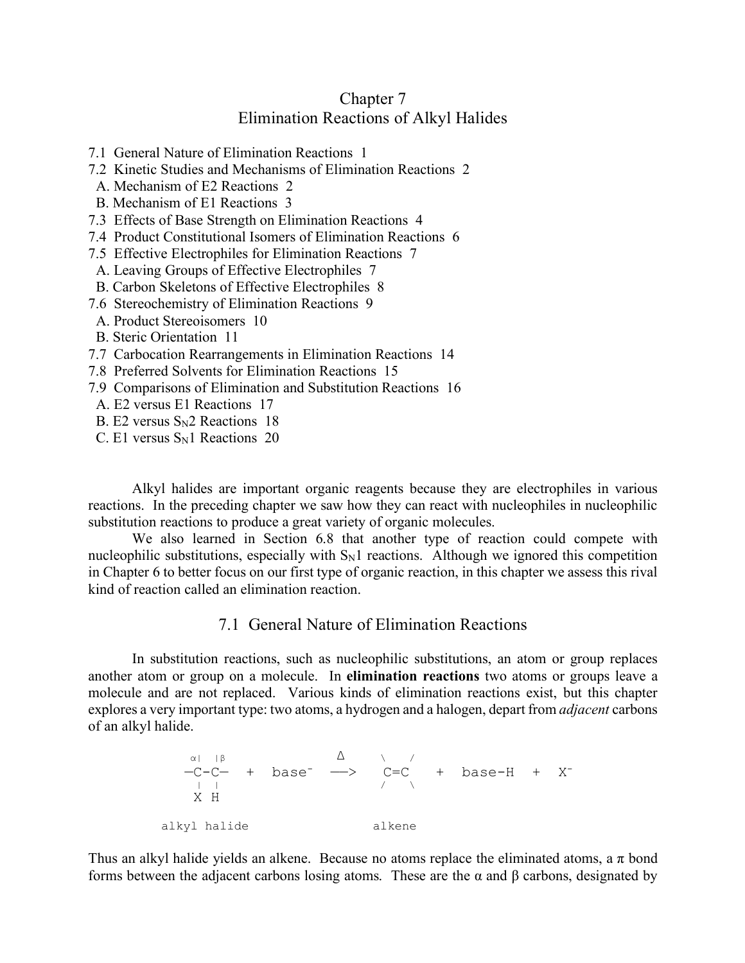# Chapter 7 Elimination Reactions of Alkyl Halides

- 7.1 General Nature of Elimination Reactions 1
- 7.2 Kinetic Studies and Mechanisms of Elimination Reactions 2
- A. Mechanism of E2 Reactions 2
- B. Mechanism of E1 Reactions 3
- 7.3 Effects of Base Strength on Elimination Reactions 4
- 7.4 Product Constitutional Isomers of Elimination Reactions 6
- 7.5 Effective Electrophiles for Elimination Reactions 7
- A. Leaving Groups of Effective Electrophiles 7
- B. Carbon Skeletons of Effective Electrophiles 8
- 7.6 Stereochemistry of Elimination Reactions 9
- A. Product Stereoisomers 10
- B. Steric Orientation 11
- 7.7 Carbocation Rearrangements in Elimination Reactions 14
- 7.8 Preferred Solvents for Elimination Reactions 15
- 7.9 Comparisons of Elimination and Substitution Reactions 16
- A. E2 versus E1 Reactions 17
- B. E2 versus  $S_N2$  Reactions 18
- C. E1 versus  $S_N1$  Reactions 20

Alkyl halides are important organic reagents because they are electrophiles in various reactions. In the preceding chapter we saw how they can react with nucleophiles in nucleophilic substitution reactions to produce a great variety of organic molecules.

We also learned in Section 6.8 that another type of reaction could compete with nucleophilic substitutions, especially with  $S_N1$  reactions. Although we ignored this competition in Chapter 6 to better focus on our first type of organic reaction, in this chapter we assess this rival kind of reaction called an elimination reaction.

## 7.1 General Nature of Elimination Reactions

In substitution reactions, such as nucleophilic substitutions, an atom or group replaces another atom or group on a molecule. In **elimination reactions** two atoms or groups leave a molecule and are not replaced. Various kinds of elimination reactions exist, but this chapter explores a very important type: two atoms, a hydrogen and a halogen, depart from *adjacent* carbons of an alkyl halide.

 $\alpha$ | |β  $\Delta$  \ /  $-C-C-$  + base<sup>-</sup>  $\longrightarrow$   $C=C$  + base-H + X<sup>-</sup> | | / \ X H alkyl halide alkene

Thus an alkyl halide yields an alkene. Because no atoms replace the eliminated atoms, a  $\pi$  bond forms between the adjacent carbons losing atoms. These are the  $\alpha$  and  $\beta$  carbons, designated by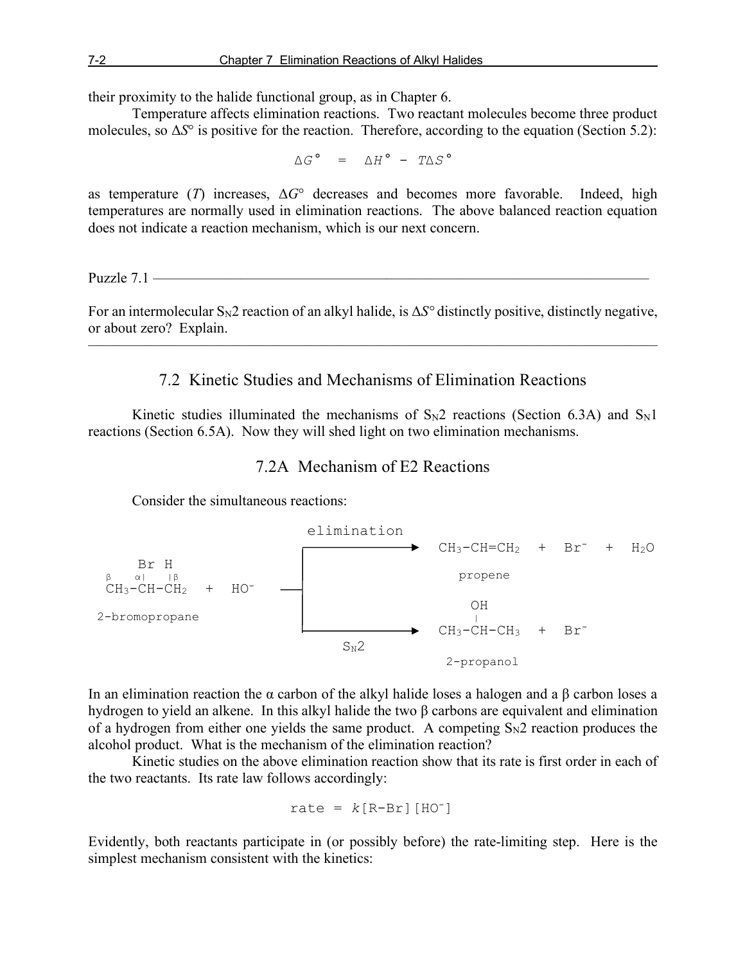their proximity to the halide functional group, as in Chapter 6.

Temperature affects elimination reactions. Two reactant molecules become three product molecules, so Δ*S*° is positive for the reaction. Therefore, according to the equation (Section 5.2):

$$
\Delta G^{\circ} = \Delta H^{\circ} - T \Delta S^{\circ}
$$

as temperature (*T*) increases, Δ*G*° decreases and becomes more favorable. Indeed, high temperatures are normally used in elimination reactions. The above balanced reaction equation does not indicate a reaction mechanism, which is our next concern.

Puzzle  $7.1$  —

For an intermolecular SN2 reaction of an alkyl halide, is Δ*S°* distinctly positive, distinctly negative, or about zero? Explain.

———————————————————————————————————————

### 7.2 Kinetic Studies and Mechanisms of Elimination Reactions

Kinetic studies illuminated the mechanisms of  $S_N2$  reactions (Section 6.3A) and  $S_N1$ reactions (Section 6.5A). Now they will shed light on two elimination mechanisms.

## 7.2A Mechanism of E2 Reactions

Consider the simultaneous reactions:



In an elimination reaction the α carbon of the alkyl halide loses a halogen and a β carbon loses a hydrogen to yield an alkene. In this alkyl halide the two β carbons are equivalent and elimination of a hydrogen from either one yields the same product. A competing  $S_N2$  reaction produces the alcohol product. What is the mechanism of the elimination reaction?

Kinetic studies on the above elimination reaction show that its rate is first order in each of the two reactants. Its rate law follows accordingly:

$$
rate = k[R-Br][HO^{-}]
$$

Evidently, both reactants participate in (or possibly before) the rate-limiting step. Here is the simplest mechanism consistent with the kinetics: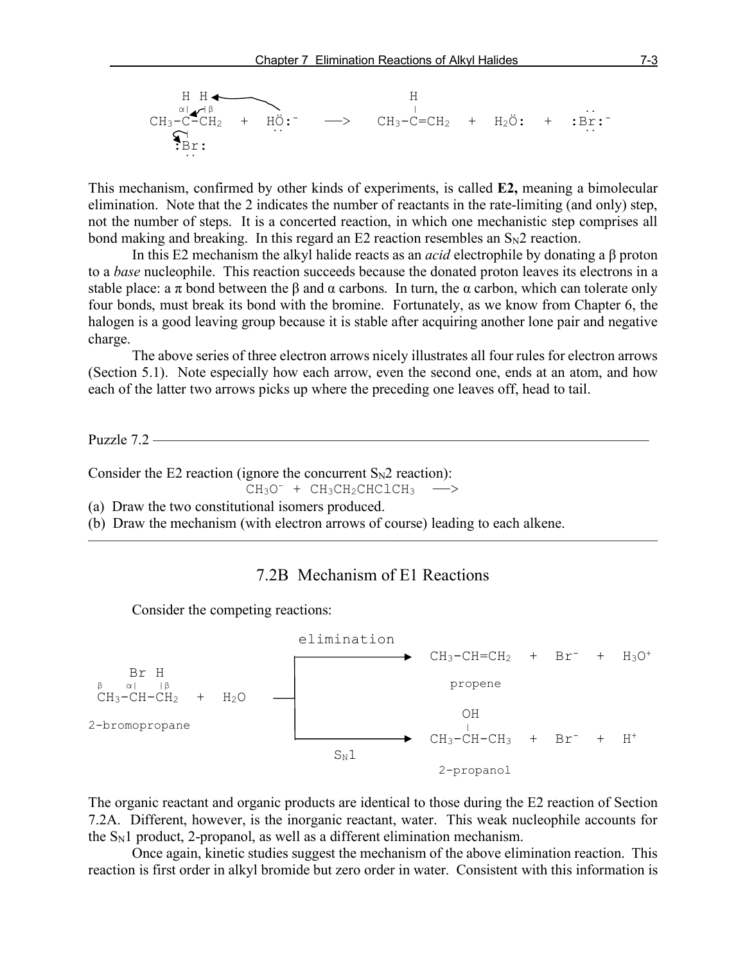

This mechanism, confirmed by other kinds of experiments, is called **E2,** meaning a bimolecular elimination. Note that the 2 indicates the number of reactants in the rate-limiting (and only) step, not the number of steps. It is a concerted reaction, in which one mechanistic step comprises all bond making and breaking. In this regard an  $E2$  reaction resembles an  $S_N2$  reaction.

In this E2 mechanism the alkyl halide reacts as an *acid* electrophile by donating a β proton to a *base* nucleophile. This reaction succeeds because the donated proton leaves its electrons in a stable place: a  $\pi$  bond between the  $\beta$  and  $\alpha$  carbons. In turn, the  $\alpha$  carbon, which can tolerate only four bonds, must break its bond with the bromine. Fortunately, as we know from Chapter 6, the halogen is a good leaving group because it is stable after acquiring another lone pair and negative charge.

The above series of three electron arrows nicely illustrates all four rules for electron arrows (Section 5.1). Note especially how each arrow, even the second one, ends at an atom, and how each of the latter two arrows picks up where the preceding one leaves off, head to tail.

Puzzle 7.2 ——————————————————————————————————

Consider the E2 reaction (ignore the concurrent  $S_N2$  reaction):

 $CH_3O^-$  +  $CH_3CH_2CHClCH_3$  ->

(a) Draw the two constitutional isomers produced.

(b) Draw the mechanism (with electron arrows of course) leading to each alkene.

### 7.2B Mechanism of E1 Reactions

 $\overline{\phantom{a}}$  , and the contract of the contract of  $\overline{\phantom{a}}$ 

Consider the competing reactions:



The organic reactant and organic products are identical to those during the E2 reaction of Section 7.2A. Different, however, is the inorganic reactant, water. This weak nucleophile accounts for the  $S_N1$  product, 2-propanol, as well as a different elimination mechanism.

Once again, kinetic studies suggest the mechanism of the above elimination reaction. This reaction is first order in alkyl bromide but zero order in water. Consistent with this information is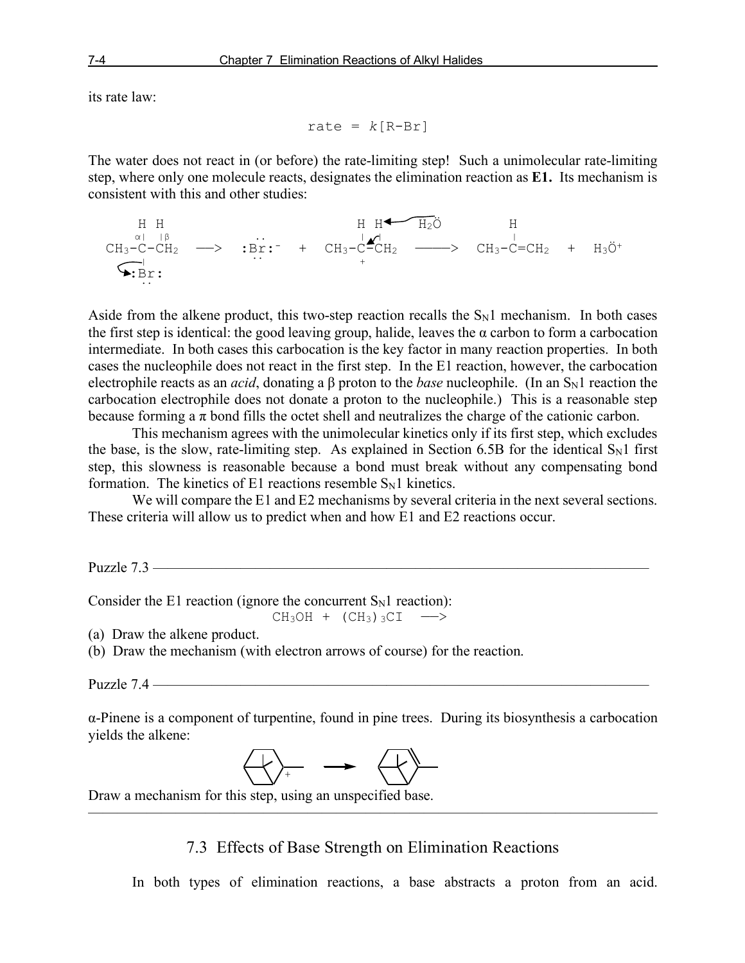its rate law:

rate =  $k[R-Br]$ 

The water does not react in (or before) the rate-limiting step! Such a unimolecular rate-limiting step, where only one molecule reacts, designates the elimination reaction as **E1.** Its mechanism is consistent with this and other studies:

 $\begin{array}{ccccccc}\n\text{H} & \text{H} & \text{H} & \text{H} & \text{H} & \text{H} & \text{H} & \text{H} & \text{H} \\
\text{M} & \text{M} & \text{M} & \text{M} & \text{M} & \text{H} & \text{H} & \text{H}\n\end{array}$  $CH_3-C-CH_2 \longrightarrow :Br:^- + CH_3-C-CH_2 \longrightarrow CH_3-C=CH_2 + H_3\ddot{O}^+$  $\sim$   $\frac{1}{100}$  .  $\frac{1}{100}$  .  $\frac{1}{100}$  .  $\frac{1}{100}$  .  $\frac{1}{100}$  .  $\frac{1}{100}$  $\bigstar$ : Br:

Aside from the alkene product, this two-step reaction recalls the  $S_N1$  mechanism. In both cases the first step is identical: the good leaving group, halide, leaves the  $\alpha$  carbon to form a carbocation intermediate. In both cases this carbocation is the key factor in many reaction properties. In both cases the nucleophile does not react in the first step. In the E1 reaction, however, the carbocation electrophile reacts as an *acid*, donating a β proton to the *base* nucleophile. (In an S<sub>N</sub>1 reaction the carbocation electrophile does not donate a proton to the nucleophile.) This is a reasonable step because forming a  $\pi$  bond fills the octet shell and neutralizes the charge of the cationic carbon.

This mechanism agrees with the unimolecular kinetics only if its first step, which excludes the base, is the slow, rate-limiting step. As explained in Section 6.5B for the identical  $S_N1$  first step, this slowness is reasonable because a bond must break without any compensating bond formation. The kinetics of E1 reactions resemble  $S_N1$  kinetics.

We will compare the E1 and E2 mechanisms by several criteria in the next several sections. These criteria will allow us to predict when and how E1 and E2 reactions occur.

Puzzle  $7.3$  —

Consider the E1 reaction (ignore the concurrent  $S_N1$  reaction):

 $CH<sub>3</sub>OH + (CH<sub>3</sub>)<sub>3</sub>CI$  -->

(a) Draw the alkene product.

(b) Draw the mechanism (with electron arrows of course) for the reaction.

Puzzle 7.4 —

α-Pinene is a component of turpentine, found in pine trees. During its biosynthesis a carbocation yields the alkene:



 Draw a mechanism for this step, using an unspecified base.

7.3 Effects of Base Strength on Elimination Reactions

 $\overline{\phantom{a}}$  , and the contract of the contract of  $\overline{\phantom{a}}$ 

In both types of elimination reactions, a base abstracts a proton from an acid.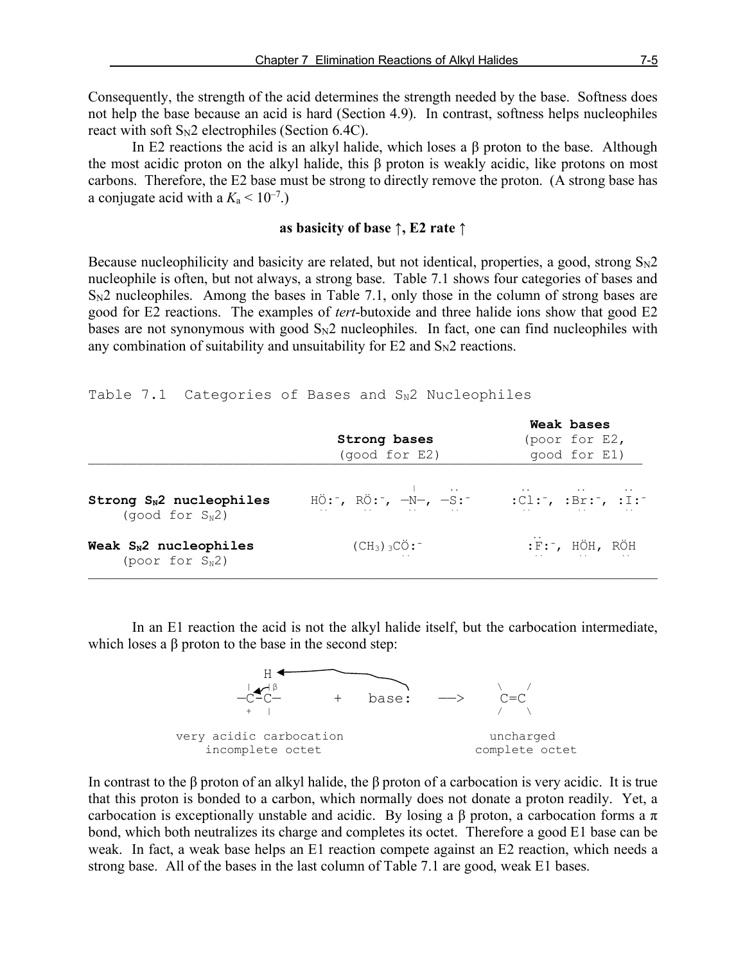Consequently, the strength of the acid determines the strength needed by the base. Softness does not help the base because an acid is hard (Section 4.9). In contrast, softness helps nucleophiles react with soft  $S_N2$  electrophiles (Section 6.4C).

In E2 reactions the acid is an alkyl halide, which loses a β proton to the base. Although the most acidic proton on the alkyl halide, this β proton is weakly acidic, like protons on most carbons. Therefore, the E2 base must be strong to directly remove the proton. (A strong base has a conjugate acid with a  $K_a < 10^{-7}$ .)

#### **as basicity of base ↑, E2 rate ↑**

Because nucleophilicity and basicity are related, but not identical, properties, a good, strong  $S_N2$ nucleophile is often, but not always, a strong base. Table 7.1 shows four categories of bases and  $S_{N2}$  nucleophiles. Among the bases in Table 7.1, only those in the column of strong bases are good for E2 reactions. The examples of *tert*-butoxide and three halide ions show that good E2 bases are not synonymous with good  $S_N2$  nucleophiles. In fact, one can find nucleophiles with any combination of suitability and unsuitability for  $E2$  and  $S_N2$  reactions.

#### Table 7.1 Categories of Bases and  $S_N2$  Nucleophiles

|                                                           | Strong bases<br>(good for E2)                                                                                                                                                               | Weak bases<br>(poor for E2,<br>good for E1)                                                                                                                                                                                                                                                                                                                                                                                                           |
|-----------------------------------------------------------|---------------------------------------------------------------------------------------------------------------------------------------------------------------------------------------------|-------------------------------------------------------------------------------------------------------------------------------------------------------------------------------------------------------------------------------------------------------------------------------------------------------------------------------------------------------------------------------------------------------------------------------------------------------|
| Strong $S_N2$ nucleophiles<br>(qood for S <sub>N</sub> 2) | $H\ddot{\mathrm{o}}$ : , $R\ddot{\mathrm{o}}$ : , $-N-$ , $-S$ : $^{-1}$<br>the contract of the contract of the contract of the contract of the contract of the contract of the contract of | $:$ $\overline{C}$ $:$ $\overline{C}$ $:$ $\overline{D}$ $:$ $\overline{D}$ $:$ $\overline{D}$ $:$ $\overline{D}$ $:$ $\overline{D}$ $:$ $\overline{D}$ $:$ $\overline{D}$ $:$ $\overline{D}$ $:$ $\overline{D}$ $:$ $\overline{D}$ $:$ $\overline{D}$ $:$ $\overline{D}$ $:$ $\overline{D}$ $:$ $\overline{D}$ $:$ $\overline{D}$<br>the contract of the contract of the contract of the contract of the contract of the contract of the contract of |
| Weak $S_N2$ nucleophiles<br>(poor for $S_N2$ )            | $(CH_3)$ 3CÖ: $^-$                                                                                                                                                                          | $:$ F: $^-$ , HÖH, RÖH<br>the company of the company of the company of the company of the company of the company of                                                                                                                                                                                                                                                                                                                                   |

In an E1 reaction the acid is not the alkyl halide itself, but the carbocation intermediate, which loses a β proton to the base in the second step:



In contrast to the β proton of an alkyl halide, the β proton of a carbocation is very acidic. It is true that this proton is bonded to a carbon, which normally does not donate a proton readily. Yet, a carbocation is exceptionally unstable and acidic. By losing a  $\beta$  proton, a carbocation forms a  $\pi$ bond, which both neutralizes its charge and completes its octet. Therefore a good E1 base can be weak. In fact, a weak base helps an E1 reaction compete against an E2 reaction, which needs a strong base. All of the bases in the last column of Table 7.1 are good, weak E1 bases.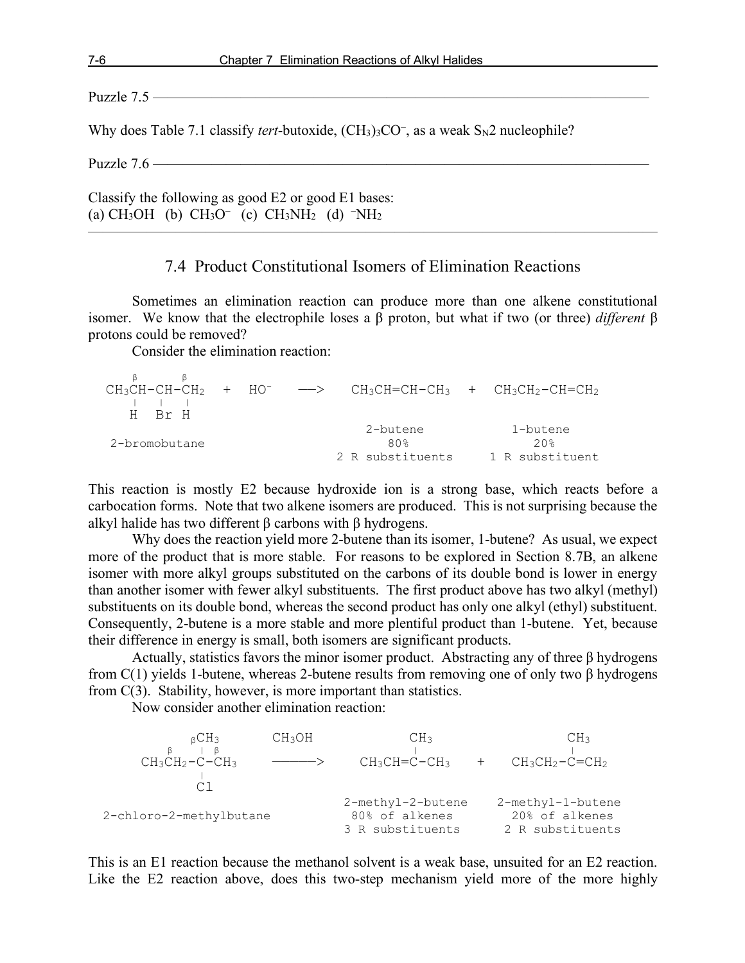Puzzle 7.5 ——————————————————————————————————

Why does Table 7.1 classify *tert*-butoxide, (CH<sub>3</sub>)<sub>3</sub>CO<sup>-</sup>, as a weak S<sub>N</sub>2 nucleophile?

Puzzle 7.6 ——————————————————————————————————

Classify the following as good E2 or good E1 bases: (a) CH<sub>3</sub>OH (b) CH<sub>3</sub>O<sup>-</sup> (c) CH<sub>3</sub>NH<sub>2</sub> (d) <sup>-</sup>NH<sub>2</sub>

## 7.4 Product Constitutional Isomers of Elimination Reactions

———————————————————————————————————————

Sometimes an elimination reaction can produce more than one alkene constitutional isomer. We know that the electrophile loses a β proton, but what if two (or three) *different* β protons could be removed?

Consider the elimination reaction:

| H Rr H        |  |  |                                     | $CH_3CH-CH-CH_2$ + HO <sup>-</sup> $\longrightarrow$ CH <sub>3</sub> CH=CH-CH <sub>3</sub> + CH <sub>3</sub> CH <sub>2</sub> -CH=CH <sub>2</sub> |
|---------------|--|--|-------------------------------------|--------------------------------------------------------------------------------------------------------------------------------------------------|
| 2-bromobutane |  |  | 2-butene<br>80%<br>2 R substituents | 1-butene<br>20 <sup>8</sup><br>1 R substituent                                                                                                   |

This reaction is mostly E2 because hydroxide ion is a strong base, which reacts before a carbocation forms. Note that two alkene isomers are produced. This is not surprising because the alkyl halide has two different β carbons with β hydrogens.

Why does the reaction yield more 2-butene than its isomer, 1-butene? As usual, we expect more of the product that is more stable. For reasons to be explored in Section 8.7B, an alkene isomer with more alkyl groups substituted on the carbons of its double bond is lower in energy than another isomer with fewer alkyl substituents. The first product above has two alkyl (methyl) substituents on its double bond, whereas the second product has only one alkyl (ethyl) substituent. Consequently, 2-butene is a more stable and more plentiful product than 1-butene. Yet, because their difference in energy is small, both isomers are significant products.

Actually, statistics favors the minor isomer product. Abstracting any of three β hydrogens from  $C(1)$  yields 1-butene, whereas 2-butene results from removing one of only two  $\beta$  hydrogens from C(3). Stability, however, is more important than statistics.

Now consider another elimination reaction:

| $BCH_3$                 | CH3OH | CH <sub>3</sub>   | CH <sub>3</sub>   |
|-------------------------|-------|-------------------|-------------------|
|                         |       |                   |                   |
| $CH_3CH_2-C-CH_3$       |       | $CH3CH=C-CH3$     | $CH_3CH_2-C=CH_2$ |
|                         |       |                   |                   |
|                         |       |                   |                   |
|                         |       | 2-methyl-2-butene | 2-methyl-1-butene |
| 2-chloro-2-methylbutane |       | 80% of alkenes    | 20% of alkenes    |
|                         |       | 3 R substituents  | 2 R substituents  |

This is an E1 reaction because the methanol solvent is a weak base, unsuited for an E2 reaction. Like the E2 reaction above, does this two-step mechanism yield more of the more highly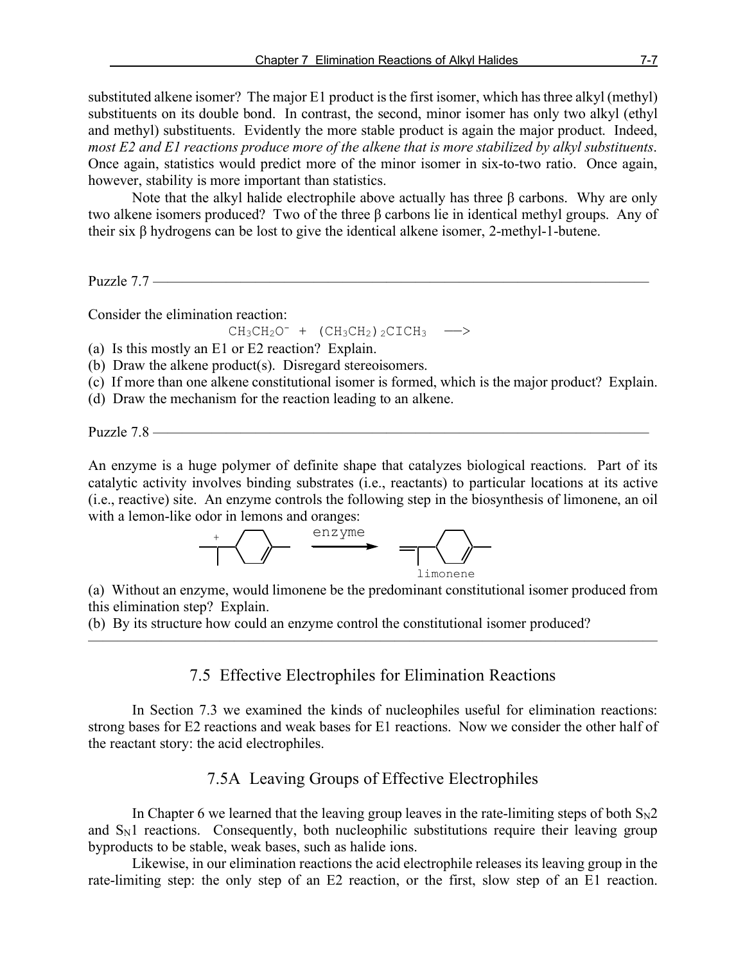substituted alkene isomer? The major E1 product is the first isomer, which has three alkyl (methyl) substituents on its double bond. In contrast, the second, minor isomer has only two alkyl (ethyl and methyl) substituents. Evidently the more stable product is again the major product. Indeed, *most E2 and E1 reactions produce more of the alkene that is more stabilized by alkyl substituents*. Once again, statistics would predict more of the minor isomer in six-to-two ratio. Once again, however, stability is more important than statistics.

Note that the alkyl halide electrophile above actually has three β carbons. Why are only two alkene isomers produced? Two of the three β carbons lie in identical methyl groups. Any of their six β hydrogens can be lost to give the identical alkene isomer, 2-methyl-1-butene.

Puzzle 7.7 —

Consider the elimination reaction:

 $CH_3CH_2O^-$  +  $(CH_3CH_2)$ <sub>2</sub>CICH<sub>3</sub> -->

(a) Is this mostly an E1 or E2 reaction? Explain.

(b) Draw the alkene product(s). Disregard stereoisomers.

(c) If more than one alkene constitutional isomer is formed, which is the major product? Explain.

(d) Draw the mechanism for the reaction leading to an alkene.

Puzzle 7.8 —

An enzyme is a huge polymer of definite shape that catalyzes biological reactions. Part of its catalytic activity involves binding substrates (i.e., reactants) to particular locations at its active (i.e., reactive) site. An enzyme controls the following step in the biosynthesis of limonene, an oil with a lemon-like odor in lemons and oranges:



(a) Without an enzyme, would limonene be the predominant constitutional isomer produced from this elimination step? Explain.

(b) By its structure how could an enzyme control the constitutional isomer produced?

7.5 Effective Electrophiles for Elimination Reactions

———————————————————————————————————————

In Section 7.3 we examined the kinds of nucleophiles useful for elimination reactions: strong bases for E2 reactions and weak bases for E1 reactions. Now we consider the other half of the reactant story: the acid electrophiles.

# 7.5A Leaving Groups of Effective Electrophiles

In Chapter 6 we learned that the leaving group leaves in the rate-limiting steps of both  $S_N2$ and  $S_N1$  reactions. Consequently, both nucleophilic substitutions require their leaving group byproducts to be stable, weak bases, such as halide ions.

Likewise, in our elimination reactions the acid electrophile releases its leaving group in the rate-limiting step: the only step of an E2 reaction, or the first, slow step of an E1 reaction.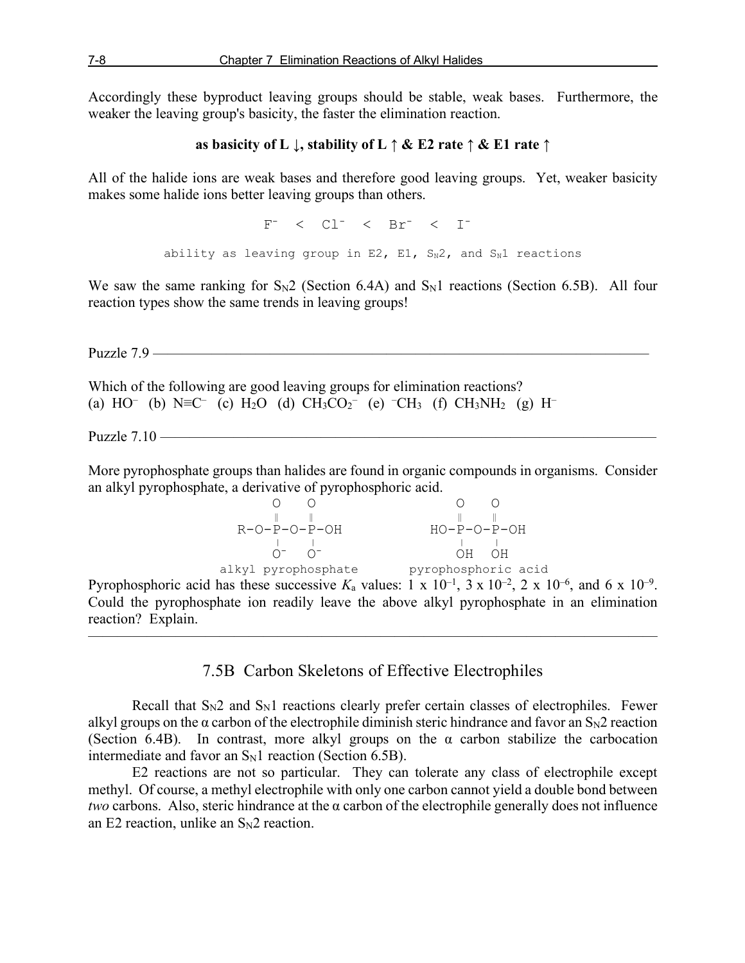Accordingly these byproduct leaving groups should be stable, weak bases. Furthermore, the weaker the leaving group's basicity, the faster the elimination reaction.

```
as basicity of L ↓, stability of L ↑ & E2 rate ↑ & E1 rate ↑
```
All of the halide ions are weak bases and therefore good leaving groups. Yet, weaker basicity makes some halide ions better leaving groups than others.

ability as leaving group in E2, E1,  $S_N2$ , and  $S_N1$  reactions

 $F^-$  <  $Cl^-$  <  $Br^-$  <  $I^-$ 

We saw the same ranking for  $S_N2$  (Section 6.4A) and  $S_N1$  reactions (Section 6.5B). All four reaction types show the same trends in leaving groups!

Puzzle 7.9 ——————————————————————————————————

Which of the following are good leaving groups for elimination reactions? (a) HO<sup>–</sup> (b) N≡C<sup>–</sup> (c) H<sub>2</sub>O (d) CH<sub>3</sub>CO<sub>2</sub><sup>–</sup> (e) <sup>–</sup>CH<sub>3</sub> (f) CH<sub>3</sub>NH<sub>2</sub> (g) H<sup>–</sup>

Puzzle 7.10 —————

More pyrophosphate groups than halides are found in organic compounds in organisms. Consider an alkyl pyrophosphate, a derivative of pyrophosphoric acid.

 O O O O  $\parallel$   $\parallel$   $\parallel$   $\parallel$   $\parallel$  $R-O-P-O-P-OH$   $HO-P-O-P-OH$ O<sup>-</sup> O<sup>-</sup> O- OH OH alkyl pyrophosphate pyrophosphoric acid Pyrophosphoric acid has these successive  $K_a$  values: 1 x 10<sup>-1</sup>, 3 x 10<sup>-2</sup>, 2 x 10<sup>-6</sup>, and 6 x 10<sup>-9</sup>.

Could the pyrophosphate ion readily leave the above alkyl pyrophosphate in an elimination reaction? Explain.

———————————————————————————————————————

7.5B Carbon Skeletons of Effective Electrophiles

Recall that  $S_N2$  and  $S_N1$  reactions clearly prefer certain classes of electrophiles. Fewer alkyl groups on the  $\alpha$  carbon of the electrophile diminish steric hindrance and favor an S<sub>N</sub>2 reaction (Section 6.4B). In contrast, more alkyl groups on the  $\alpha$  carbon stabilize the carbocation intermediate and favor an  $S_N1$  reaction (Section 6.5B).

E2 reactions are not so particular. They can tolerate any class of electrophile except methyl. Of course, a methyl electrophile with only one carbon cannot yield a double bond between *two* carbons. Also, steric hindrance at the α carbon of the electrophile generally does not influence an E2 reaction, unlike an  $S_N2$  reaction.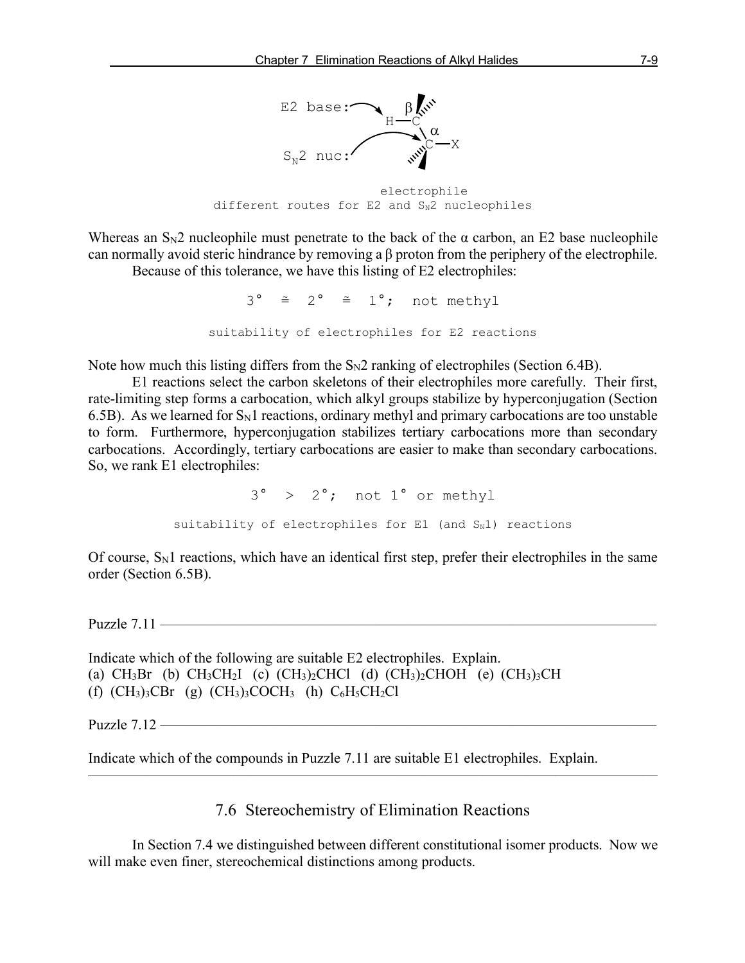

 electrophile different routes for  $E2$  and  $S_N^2$  nucleophiles

Whereas an  $S<sub>N</sub>2$  nucleophile must penetrate to the back of the  $\alpha$  carbon, an E2 base nucleophile can normally avoid steric hindrance by removing a β proton from the periphery of the electrophile.

Because of this tolerance, we have this listing of E2 electrophiles:

 $3^{\circ} \cong 2^{\circ} \cong 1^{\circ}$ ; not methyl suitability of electrophiles for E2 reactions

Note how much this listing differs from the  $S_N2$  ranking of electrophiles (Section 6.4B).

E1 reactions select the carbon skeletons of their electrophiles more carefully. Their first, rate-limiting step forms a carbocation, which alkyl groups stabilize by hyperconjugation (Section 6.5B). As we learned for  $S_N1$  reactions, ordinary methyl and primary carbocations are too unstable to form. Furthermore, hyperconjugation stabilizes tertiary carbocations more than secondary carbocations. Accordingly, tertiary carbocations are easier to make than secondary carbocations. So, we rank E1 electrophiles:

> 3° > 2°; not 1° or methyl suitability of electrophiles for  $E1$  (and  $S_N1$ ) reactions

Of course,  $S_N1$  reactions, which have an identical first step, prefer their electrophiles in the same order (Section 6.5B).

Puzzle  $7.11$  —

Indicate which of the following are suitable E2 electrophiles. Explain. (a)  $CH_3Br$  (b)  $CH_3CH_2I$  (c)  $(CH_3)_2CHCl$  (d)  $(CH_3)_2CHOH$  (e)  $(CH_3)_3CH$ (f)  $(CH_3)_3CBr$  (g)  $(CH_3)_3COCH_3$  (h)  $C_6H_5CH_2Cl$ 

Puzzle  $7.12$  —

Indicate which of the compounds in Puzzle 7.11 are suitable E1 electrophiles. Explain.

7.6 Stereochemistry of Elimination Reactions

———————————————————————————————————————

In Section 7.4 we distinguished between different constitutional isomer products. Now we will make even finer, stereochemical distinctions among products.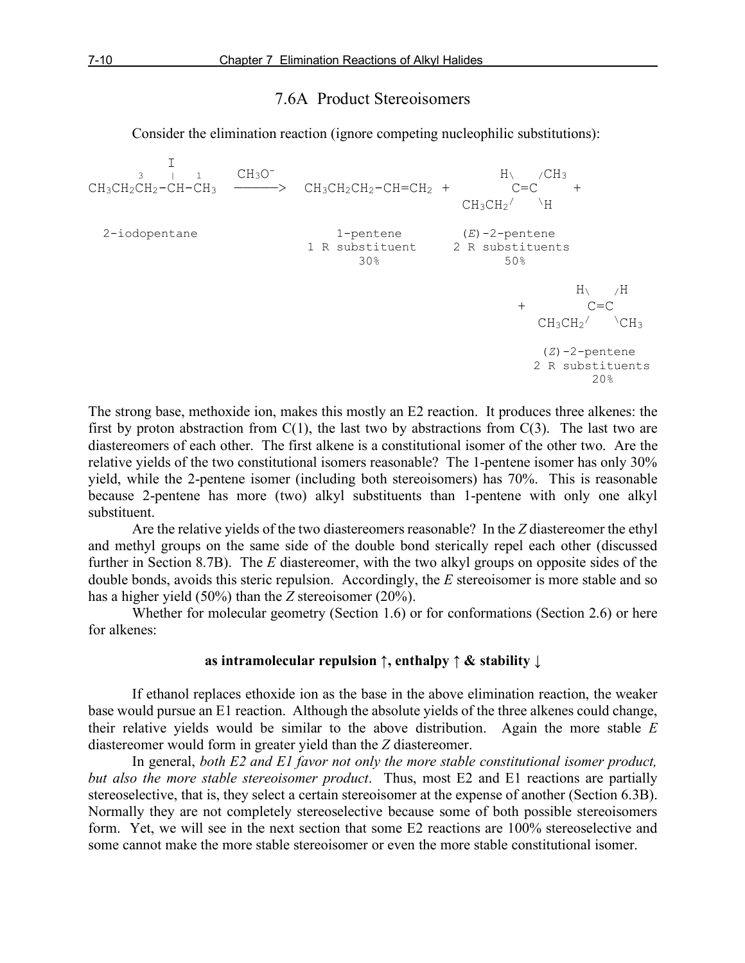## 7.6A Product Stereoisomers

Consider the elimination reaction (ignore competing nucleophilic substitutions):

 I 3 | 1 CH3O- H\ /CH3  $CH_3CH_2CH_2-CH-CH_3$  ————>  $CH_3CH_2CH_2-CH=CH_2 +$  C=C +  $CH_3CH_2$ /  $\rightarrow$  H 2-iodopentane 1-pentene (*E*)-2-pentene 1 R substituent 2 R substituents  $30\%$  50%  $\,$  H  $\,\backslash$   $\,$   $\,$  /H  $\,$  $+$  C=C  $CH_3CH_2$   $CH_3$  (*Z*)-2-pentene 2 R substituents  $20\%$ 

The strong base, methoxide ion, makes this mostly an E2 reaction. It produces three alkenes: the first by proton abstraction from  $C(1)$ , the last two by abstractions from  $C(3)$ . The last two are diastereomers of each other. The first alkene is a constitutional isomer of the other two. Are the relative yields of the two constitutional isomers reasonable? The 1-pentene isomer has only 30% yield, while the 2-pentene isomer (including both stereoisomers) has 70%. This is reasonable because 2-pentene has more (two) alkyl substituents than 1-pentene with only one alkyl substituent.

Are the relative yields of the two diastereomers reasonable? In the *Z* diastereomer the ethyl and methyl groups on the same side of the double bond sterically repel each other (discussed further in Section 8.7B). The *E* diastereomer, with the two alkyl groups on opposite sides of the double bonds, avoids this steric repulsion. Accordingly, the *E* stereoisomer is more stable and so has a higher yield (50%) than the *Z* stereoisomer (20%).

Whether for molecular geometry (Section 1.6) or for conformations (Section 2.6) or here for alkenes:

#### **as intramolecular repulsion ↑, enthalpy ↑ & stability ↓**

If ethanol replaces ethoxide ion as the base in the above elimination reaction, the weaker base would pursue an E1 reaction. Although the absolute yields of the three alkenes could change, their relative yields would be similar to the above distribution. Again the more stable *E* diastereomer would form in greater yield than the *Z* diastereomer.

In general, *both E2 and E1 favor not only the more stable constitutional isomer product, but also the more stable stereoisomer product*. Thus, most E2 and E1 reactions are partially stereoselective, that is, they select a certain stereoisomer at the expense of another (Section 6.3B). Normally they are not completely stereoselective because some of both possible stereoisomers form. Yet, we will see in the next section that some E2 reactions are 100% stereoselective and some cannot make the more stable stereoisomer or even the more stable constitutional isomer.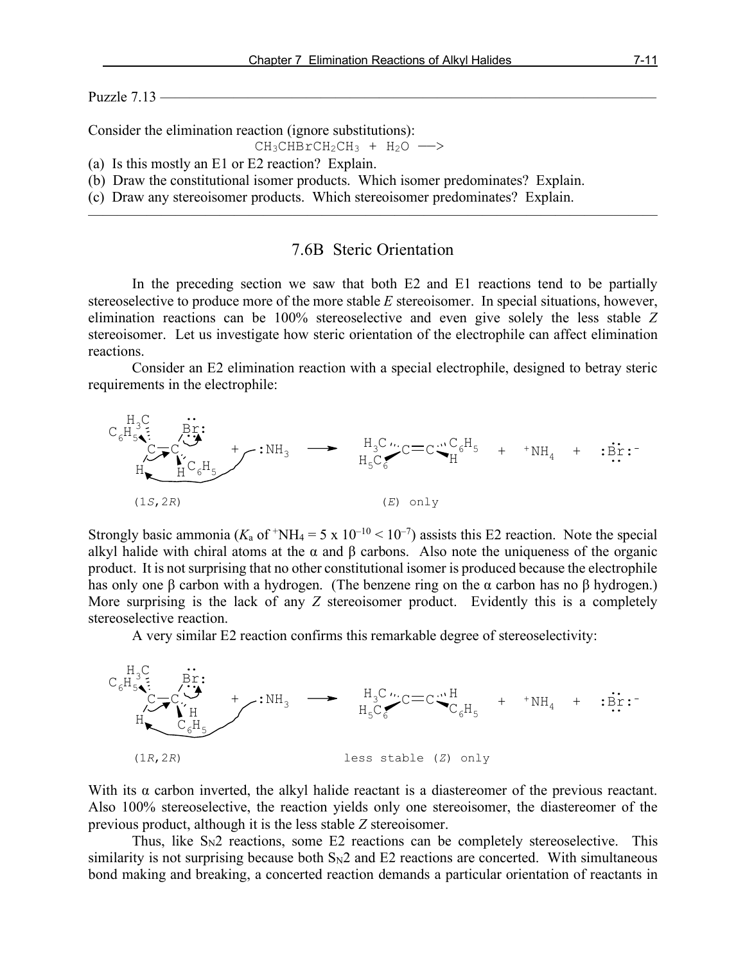Puzzle  $7.13$  —

Consider the elimination reaction (ignore substitutions):

$$
\mathrm{CH}_3\mathrm{CHBrCH}_2\mathrm{CH}_3\ +\ \mathrm{H}_2\mathrm{O}\ \longrightarrow
$$

(a) Is this mostly an E1 or E2 reaction? Explain.

(b) Draw the constitutional isomer products. Which isomer predominates? Explain.

(c) Draw any stereoisomer products. Which stereoisomer predominates? Explain.

## 7.6B Steric Orientation

———————————————————————————————————————

In the preceding section we saw that both E2 and E1 reactions tend to be partially stereoselective to produce more of the more stable *E* stereoisomer. In special situations, however, elimination reactions can be 100% stereoselective and even give solely the less stable *Z* stereoisomer. Let us investigate how steric orientation of the electrophile can affect elimination reactions.

Consider an E2 elimination reaction with a special electrophile, designed to betray steric requirements in the electrophile:



Strongly basic ammonia ( $K_a$  of  $^+$ NH<sub>4</sub> = 5 x 10<sup>-10</sup> < 10<sup>-7</sup>) assists this E2 reaction. Note the special alkyl halide with chiral atoms at the  $\alpha$  and  $\beta$  carbons. Also note the uniqueness of the organic product. It is not surprising that no other constitutional isomer is produced because the electrophile has only one β carbon with a hydrogen. (The benzene ring on the α carbon has no β hydrogen.) More surprising is the lack of any *Z* stereoisomer product. Evidently this is a completely stereoselective reaction.

A very similar E2 reaction confirms this remarkable degree of stereoselectivity:



With its  $\alpha$  carbon inverted, the alkyl halide reactant is a diastereomer of the previous reactant. Also 100% stereoselective, the reaction yields only one stereoisomer, the diastereomer of the previous product, although it is the less stable *Z* stereoisomer.

Thus, like  $S_N2$  reactions, some E2 reactions can be completely stereoselective. This similarity is not surprising because both  $S_N2$  and  $E2$  reactions are concerted. With simultaneous bond making and breaking, a concerted reaction demands a particular orientation of reactants in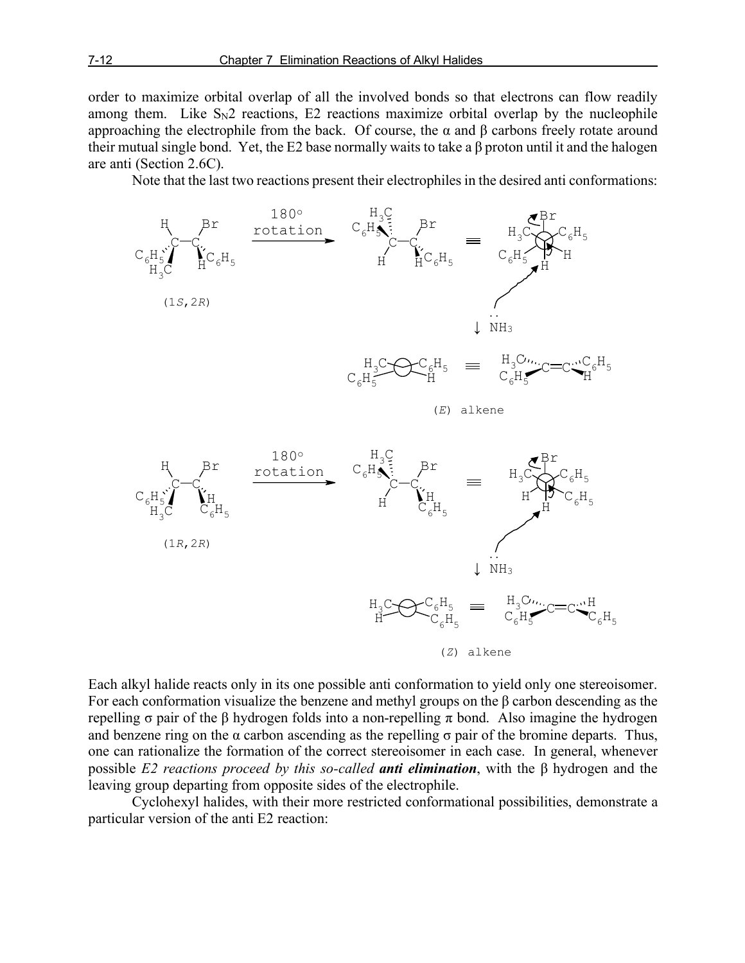order to maximize orbital overlap of all the involved bonds so that electrons can flow readily among them. Like  $S_N2$  reactions, E2 reactions maximize orbital overlap by the nucleophile approaching the electrophile from the back. Of course, the  $\alpha$  and  $\beta$  carbons freely rotate around their mutual single bond. Yet, the E2 base normally waits to take a β proton until it and the halogen are anti (Section 2.6C).

Note that the last two reactions present their electrophiles in the desired anti conformations:



Each alkyl halide reacts only in its one possible anti conformation to yield only one stereoisomer. For each conformation visualize the benzene and methyl groups on the β carbon descending as the repelling σ pair of the β hydrogen folds into a non-repelling π bond. Also imagine the hydrogen and benzene ring on the  $\alpha$  carbon ascending as the repelling  $\sigma$  pair of the bromine departs. Thus, one can rationalize the formation of the correct stereoisomer in each case. In general, whenever possible *E2 reactions proceed by this so-called anti elimination*, with the β hydrogen and the leaving group departing from opposite sides of the electrophile.

Cyclohexyl halides, with their more restricted conformational possibilities, demonstrate a particular version of the anti E2 reaction: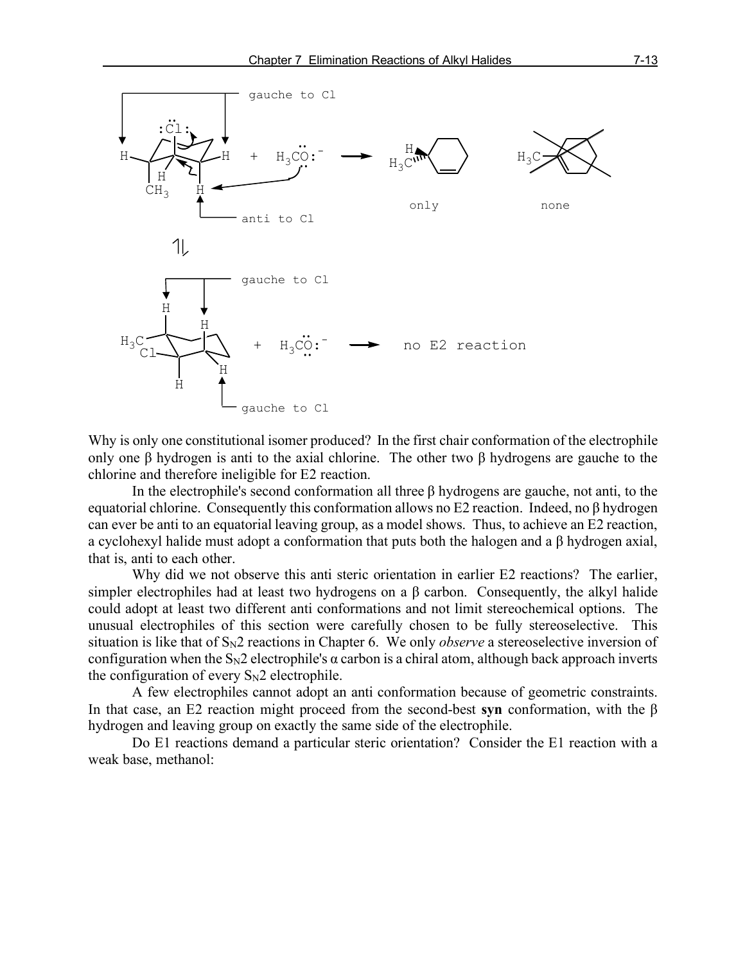

Why is only one constitutional isomer produced? In the first chair conformation of the electrophile only one β hydrogen is anti to the axial chlorine. The other two β hydrogens are gauche to the chlorine and therefore ineligible for E2 reaction.

In the electrophile's second conformation all three  $\beta$  hydrogens are gauche, not anti, to the equatorial chlorine. Consequently this conformation allows no E2 reaction. Indeed, no β hydrogen can ever be anti to an equatorial leaving group, as a model shows. Thus, to achieve an E2 reaction, a cyclohexyl halide must adopt a conformation that puts both the halogen and a β hydrogen axial, that is, anti to each other.

Why did we not observe this anti steric orientation in earlier E2 reactions? The earlier, simpler electrophiles had at least two hydrogens on a  $\beta$  carbon. Consequently, the alkyl halide could adopt at least two different anti conformations and not limit stereochemical options. The unusual electrophiles of this section were carefully chosen to be fully stereoselective. This situation is like that of S<sub>N</sub>2 reactions in Chapter 6. We only *observe* a stereoselective inversion of configuration when the  $S_N2$  electrophile's  $\alpha$  carbon is a chiral atom, although back approach inverts the configuration of every  $S_N2$  electrophile.

A few electrophiles cannot adopt an anti conformation because of geometric constraints. In that case, an E2 reaction might proceed from the second-best **syn** conformation, with the β hydrogen and leaving group on exactly the same side of the electrophile.

Do E1 reactions demand a particular steric orientation? Consider the E1 reaction with a weak base, methanol: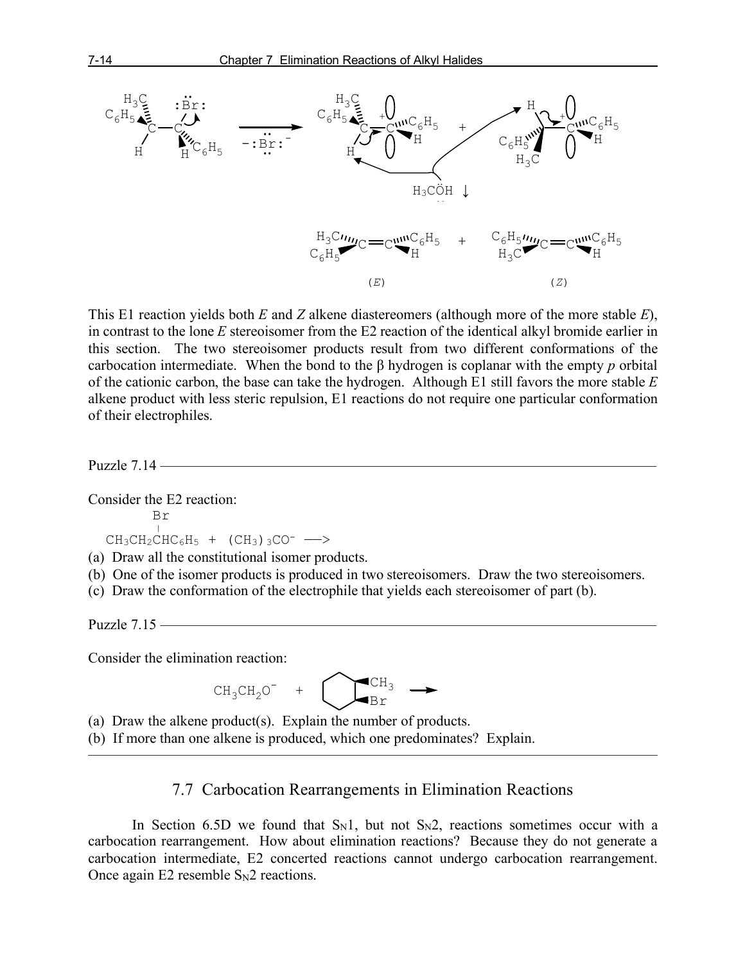

This E1 reaction yields both *E* and *Z* alkene diastereomers (although more of the more stable *E*), in contrast to the lone *E* stereoisomer from the E2 reaction of the identical alkyl bromide earlier in this section. The two stereoisomer products result from two different conformations of the carbocation intermediate. When the bond to the β hydrogen is coplanar with the empty *p* orbital of the cationic carbon, the base can take the hydrogen. Although E1 still favors the more stable *E* alkene product with less steric repulsion, E1 reactions do not require one particular conformation of their electrophiles.

Puzzle 7.14 ——————————————————————————————————

Consider the E2 reaction:

$$
\begin{array}{c}\n\text{Br} \\
\downarrow\n\end{array}
$$

 $CH_3CH_2CHC_6H_5 + (CH_3)3CO^-$  -->

(a) Draw all the constitutional isomer products.

- (b) One of the isomer products is produced in two stereoisomers. Draw the two stereoisomers.
- (c) Draw the conformation of the electrophile that yields each stereoisomer of part (b).

Puzzle  $7.15$  —

Consider the elimination reaction:

$$
CH_3CH_2O^+ + \bigodot
$$

(a) Draw the alkene product(s). Explain the number of products.

(b) If more than one alkene is produced, which one predominates? Explain.

## 7.7 Carbocation Rearrangements in Elimination Reactions

 $\overline{\phantom{a}}$  , and the contract of the contract of  $\overline{\phantom{a}}$ 

In Section 6.5D we found that  $S_N1$ , but not  $S_N2$ , reactions sometimes occur with a carbocation rearrangement. How about elimination reactions? Because they do not generate a carbocation intermediate, E2 concerted reactions cannot undergo carbocation rearrangement. Once again E2 resemble  $S_N$ 2 reactions.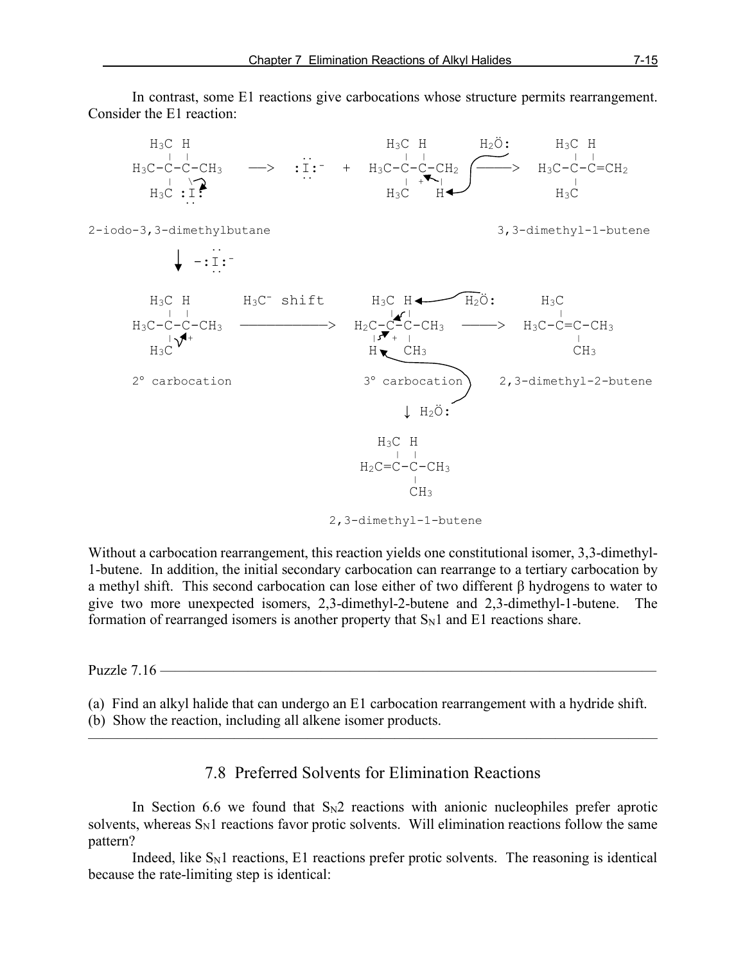In contrast, some E1 reactions give carbocations whose structure permits rearrangement. Consider the E1 reaction:



2,3-dimethyl-1-butene

Without a carbocation rearrangement, this reaction yields one constitutional isomer, 3,3-dimethyl-1-butene. In addition, the initial secondary carbocation can rearrange to a tertiary carbocation by a methyl shift. This second carbocation can lose either of two different β hydrogens to water to give two more unexpected isomers, 2,3-dimethyl-2-butene and 2,3-dimethyl-1-butene. The formation of rearranged isomers is another property that  $S_N1$  and E1 reactions share.

Puzzle  $7.16$  —

(a) Find an alkyl halide that can undergo an E1 carbocation rearrangement with a hydride shift. (b) Show the reaction, including all alkene isomer products.

## 7.8 Preferred Solvents for Elimination Reactions

———————————————————————————————————————

In Section 6.6 we found that  $S_N2$  reactions with anionic nucleophiles prefer aprotic solvents, whereas  $S_N1$  reactions favor protic solvents. Will elimination reactions follow the same pattern?

Indeed, like  $S<sub>N</sub>1$  reactions, E1 reactions prefer protic solvents. The reasoning is identical because the rate-limiting step is identical: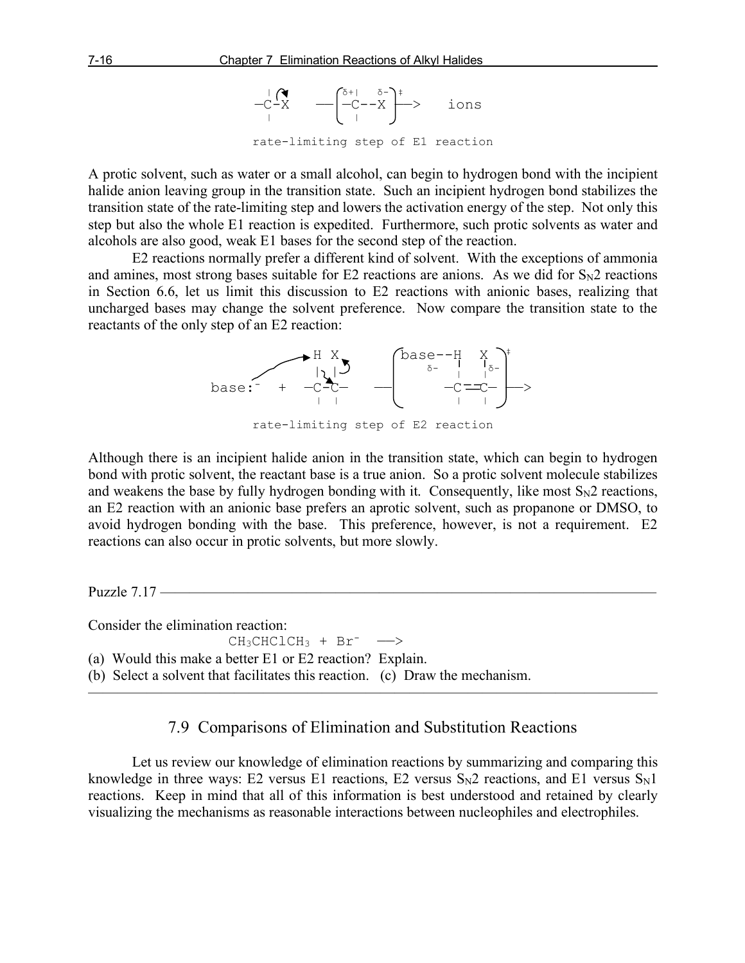

rate-limiting step of E1 reaction

A protic solvent, such as water or a small alcohol, can begin to hydrogen bond with the incipient halide anion leaving group in the transition state. Such an incipient hydrogen bond stabilizes the transition state of the rate-limiting step and lowers the activation energy of the step. Not only this step but also the whole E1 reaction is expedited. Furthermore, such protic solvents as water and alcohols are also good, weak E1 bases for the second step of the reaction.

E2 reactions normally prefer a different kind of solvent. With the exceptions of ammonia and amines, most strong bases suitable for E2 reactions are anions. As we did for  $S_N2$  reactions in Section 6.6, let us limit this discussion to E2 reactions with anionic bases, realizing that uncharged bases may change the solvent preference. Now compare the transition state to the reactants of the only step of an E2 reaction:



rate-limiting step of E2 reaction

Although there is an incipient halide anion in the transition state, which can begin to hydrogen bond with protic solvent, the reactant base is a true anion. So a protic solvent molecule stabilizes and weakens the base by fully hydrogen bonding with it. Consequently, like most  $S_N2$  reactions, an E2 reaction with an anionic base prefers an aprotic solvent, such as propanone or DMSO, to avoid hydrogen bonding with the base. This preference, however, is not a requirement. E2 reactions can also occur in protic solvents, but more slowly.

Puzzle  $7.17$  –

Consider the elimination reaction:

 $CH_3CHCLCH_3$  +  $Br^-$ 

(a) Would this make a better E1 or E2 reaction? Explain.

(b) Select a solvent that facilitates this reaction. (c) Draw the mechanism.

## 7.9 Comparisons of Elimination and Substitution Reactions

 $\overline{\phantom{a}}$  , and the contract of the contract of  $\overline{\phantom{a}}$ 

Let us review our knowledge of elimination reactions by summarizing and comparing this knowledge in three ways: E2 versus E1 reactions, E2 versus  $S_N2$  reactions, and E1 versus  $S_N1$ reactions. Keep in mind that all of this information is best understood and retained by clearly visualizing the mechanisms as reasonable interactions between nucleophiles and electrophiles.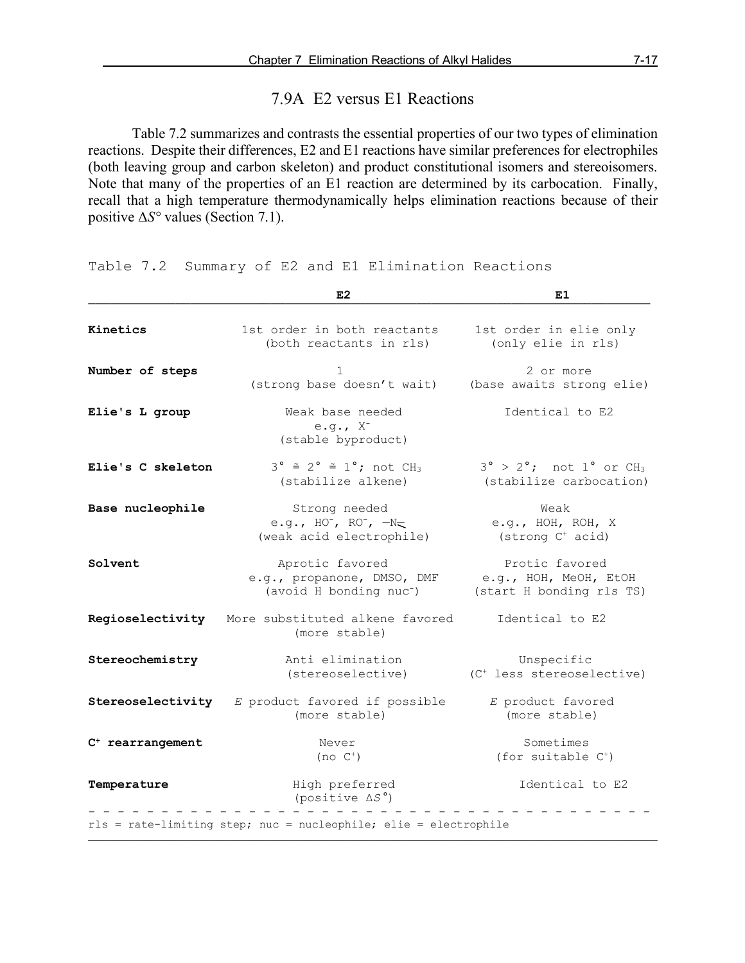## 7.9A E2 versus E1 Reactions

Table 7.2 summarizes and contrasts the essential properties of our two types of elimination reactions. Despite their differences, E2 and E1 reactions have similar preferences for electrophiles (both leaving group and carbon skeleton) and product constitutional isomers and stereoisomers. Note that many of the properties of an E1 reaction are determined by its carbocation. Finally, recall that a high temperature thermodynamically helps elimination reactions because of their positive Δ*S°* values (Section 7.1).

Table 7.2 Summary of E2 and E1 Elimination Reactions

|                    | E <sub>2</sub>                                                                       | E1                                                                                  |
|--------------------|--------------------------------------------------------------------------------------|-------------------------------------------------------------------------------------|
| Kinetics           | 1st order in both reactants<br>(both reactants in rls)                               | 1st order in elie only<br>(only elie in rls)                                        |
| Number of steps    | 1<br>(strong base doesn't wait)                                                      | 2 or more<br>(base awaits strong elie)                                              |
| Elie's L group     | Weak base needed<br>e.g., $X^-$<br>(stable byproduct)                                | Identical to E2                                                                     |
| Elie's C skeleton  | $3^\circ \cong 2^\circ \cong 1^\circ$ ; not CH <sub>3</sub><br>(stabilize alkene)    | $3^\circ$ > $2^\circ$ ; not $1^\circ$ or CH <sub>3</sub><br>(stabilize carbocation) |
| Base nucleophile   | Strong needed<br>e.g., $HO^-$ , $RO^-$ , $-N=$<br>(weak acid electrophile)           | Weak<br>e.g., HOH, ROH, X<br>(strong C <sup>+</sup> acid)                           |
| Solvent            | Aprotic favored<br>e.g., propanone, DMSO, DMF<br>(avoid H bonding nuc <sup>-</sup> ) | Protic favored<br>e.g., HOH, MeOH, EtOH<br>(start H bonding rls TS)                 |
| Regioselectivity   | More substituted alkene favored<br>(more stable)                                     | Identical to E2                                                                     |
| Stereochemistry    | Anti elimination<br>(stereoselective)                                                | Unspecific<br>(C <sup>+</sup> less stereoselective)                                 |
| Stereoselectivity  | E product favored if possible<br>(more stable)                                       | E product favored<br>(more stable)                                                  |
| $C+ rearrangement$ | Never<br>$(no C+)$                                                                   | Sometimes<br>(for suitable $C^+$ )                                                  |
| Temperature        | High preferred<br>(positive $\Delta S^{\circ}$ )                                     | Identical to E2                                                                     |
|                    | rls = rate-limiting step; nuc = nucleophile; elie = electrophile                     |                                                                                     |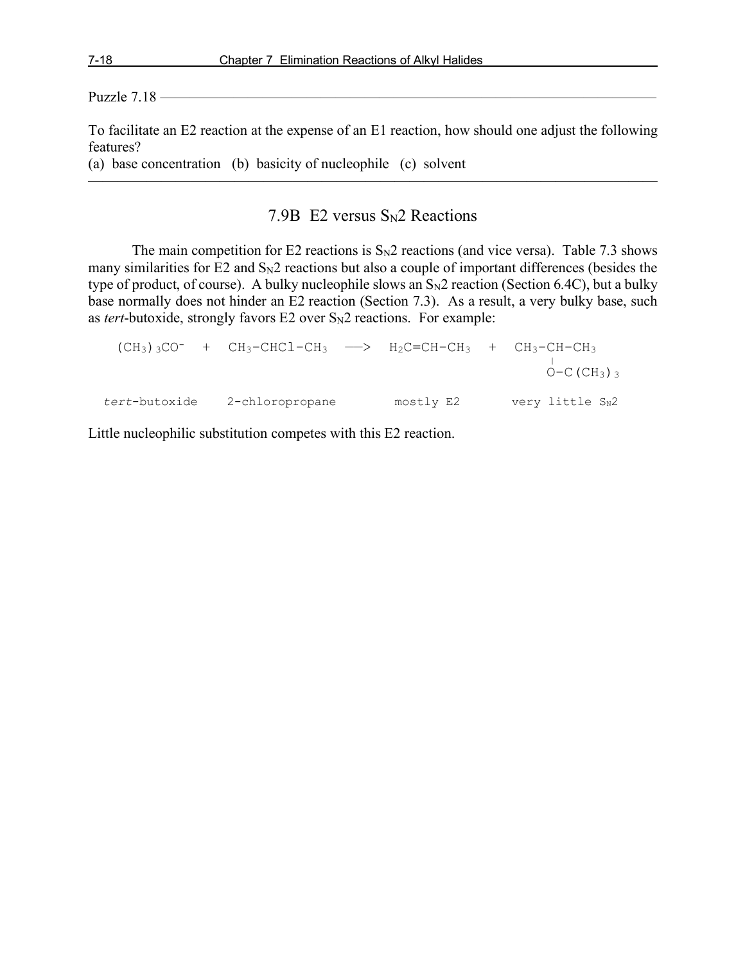Puzzle 7.18 ——————————————————————————————————

To facilitate an E2 reaction at the expense of an E1 reaction, how should one adjust the following features?

(a) base concentration (b) basicity of nucleophile (c) solvent

## 7.9B E2 versus  $S_N2$  Reactions

 $\overline{\phantom{a}}$  , and the contract of the contract of  $\overline{\phantom{a}}$ 

The main competition for E2 reactions is  $S_N2$  reactions (and vice versa). Table 7.3 shows many similarities for E2 and  $S_N2$  reactions but also a couple of important differences (besides the type of product, of course). A bulky nucleophile slows an  $S_N2$  reaction (Section 6.4C), but a bulky base normally does not hinder an E2 reaction (Section 7.3). As a result, a very bulky base, such as *tert*-butoxide, strongly favors E2 over  $S_N2$  reactions. For example:

|               | $(CH3)3CO^-$ + $CH3-CHCl-CH3$ --> $H2C=CH-CH3$ + $CH3-CH-CH3$ |           | $O-C$ (CH <sub>3</sub> ) $_3$ |
|---------------|---------------------------------------------------------------|-----------|-------------------------------|
| tert-butoxide | 2-chloropropane                                               | mostly E2 | very little SN2               |

Little nucleophilic substitution competes with this E2 reaction.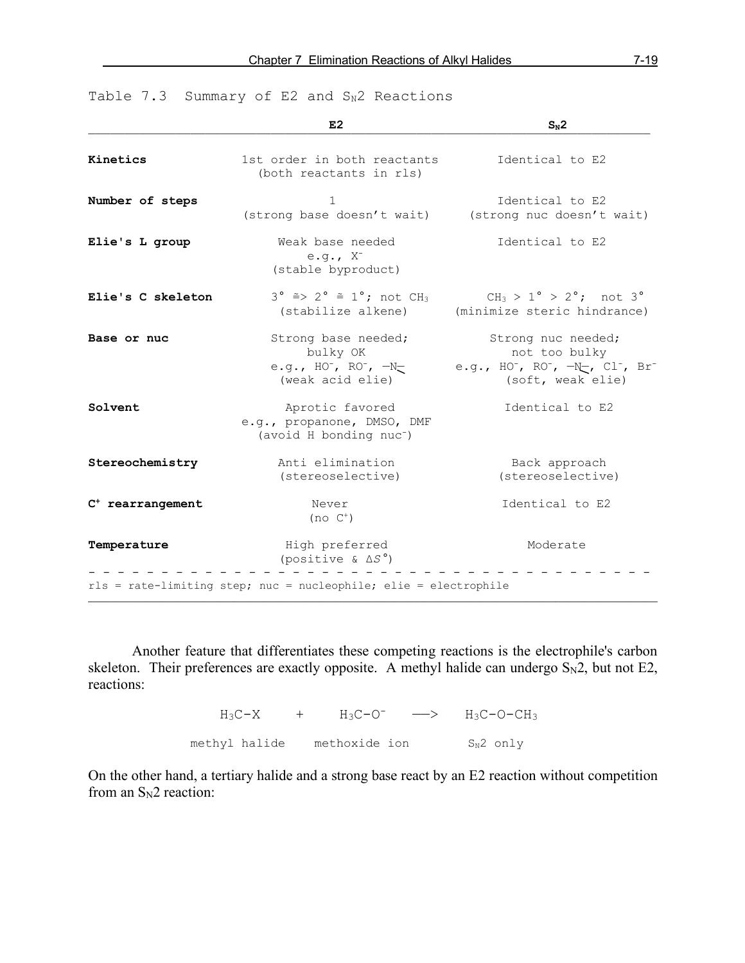|  |  |  |  |  |  |  | Table 7.3 Summary of E2 and $S_N2$ Reactions |
|--|--|--|--|--|--|--|----------------------------------------------|
|--|--|--|--|--|--|--|----------------------------------------------|

|                    | E2                                                                                   | $S_N2$                                                                                       |
|--------------------|--------------------------------------------------------------------------------------|----------------------------------------------------------------------------------------------|
| Kinetics           | 1st order in both reactants<br>(both reactants in rls)                               | Identical to E2                                                                              |
| Number of steps    | 1<br>(strong base doesn't wait)                                                      | Identical to E2<br>(strong nuc doesn't wait)                                                 |
| Elie's L group     | Weak base needed<br>e.g., $X^-$<br>(stable byproduct)                                | Identical to E2                                                                              |
| Elie's C skeleton  | $3^\circ \cong > 2^\circ \cong 1^\circ$ ; not CH <sub>3</sub><br>(stabilize alkene)  | $CH_3 > 1^{\circ} > 2^{\circ}$ ; not 3°<br>(minimize steric hindrance)                       |
| Base or nuc        | Strong base needed;<br>bulky OK<br>e.g., HO , RO , $-N=$<br>(weak acid elie)         | Strong nuc needed;<br>not too bulky<br>e.g., HO , RO , $\neg$ , Cl , Br<br>(soft, weak elie) |
| Solvent            | Aprotic favored<br>e.g., propanone, DMSO, DMF<br>(avoid H bonding nuc <sup>-</sup> ) | Identical to E2                                                                              |
| Stereochemistry    | Anti elimination<br>(stereoselective)                                                | Back approach<br>(stereoselective)                                                           |
| $C+ rearrangement$ | Never<br>$(no C+)$                                                                   | Identical to E2                                                                              |
| Temperature        | High preferred<br>(positive & $\Delta S^{\circ}$ )                                   | Moderate                                                                                     |
|                    | rls = rate-limiting step; nuc = nucleophile; elie = electrophile                     |                                                                                              |

Another feature that differentiates these competing reactions is the electrophile's carbon skeleton. Their preferences are exactly opposite. A methyl halide can undergo  $S_N2$ , but not E2, reactions:

> $H_3C-X$  +  $H_3C-O^-$  -->  $H_3C-O-CH_3$ methyl halide methoxide ion  $S_N^2$  only

On the other hand, a tertiary halide and a strong base react by an E2 reaction without competition from an  $S_N2$  reaction: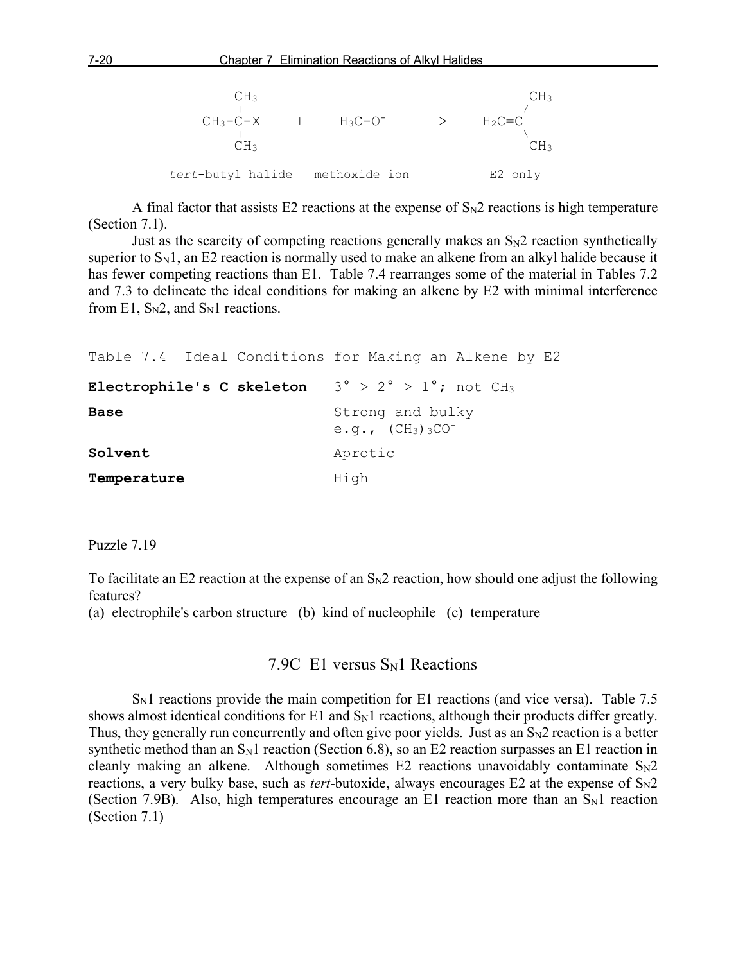

A final factor that assists E2 reactions at the expense of  $S_N2$  reactions is high temperature (Section 7.1).

Just as the scarcity of competing reactions generally makes an  $S_N2$  reaction synthetically superior to  $S_N1$ , an E2 reaction is normally used to make an alkene from an alkyl halide because it has fewer competing reactions than E1. Table 7.4 rearranges some of the material in Tables 7.2 and 7.3 to delineate the ideal conditions for making an alkene by E2 with minimal interference from E1,  $S_N2$ , and  $S_N1$  reactions.

```
Table 7.4 Ideal Conditions for Making an Alkene by E2
Electrophile's C skeleton 3° > 2° > 1°; not CH3
Base Strong and bulky
                          e.g., (CH_3)<sub>3</sub>CO<sup>-</sup>
Solvent Aprotic
Temperature High
\overline{\phantom{a}} , and the contract of the contract of \overline{\phantom{a}}
```
Puzzle  $7.19$  —

To facilitate an E2 reaction at the expense of an  $S_N2$  reaction, how should one adjust the following features?

(a) electrophile's carbon structure (b) kind of nucleophile (c) temperature

## 7.9C E1 versus  $S_N1$  Reactions

———————————————————————————————————————

 $S<sub>N</sub>1$  reactions provide the main competition for E1 reactions (and vice versa). Table 7.5 shows almost identical conditions for E1 and  $S_N1$  reactions, although their products differ greatly. Thus, they generally run concurrently and often give poor yields. Just as an  $S_N2$  reaction is a better synthetic method than an  $S_N1$  reaction (Section 6.8), so an E2 reaction surpasses an E1 reaction in cleanly making an alkene. Although sometimes E2 reactions unavoidably contaminate  $S_N2$ reactions, a very bulky base, such as *tert*-butoxide, always encourages  $E2$  at the expense of  $S_N2$ (Section 7.9B). Also, high temperatures encourage an E1 reaction more than an  $S_N1$  reaction (Section 7.1)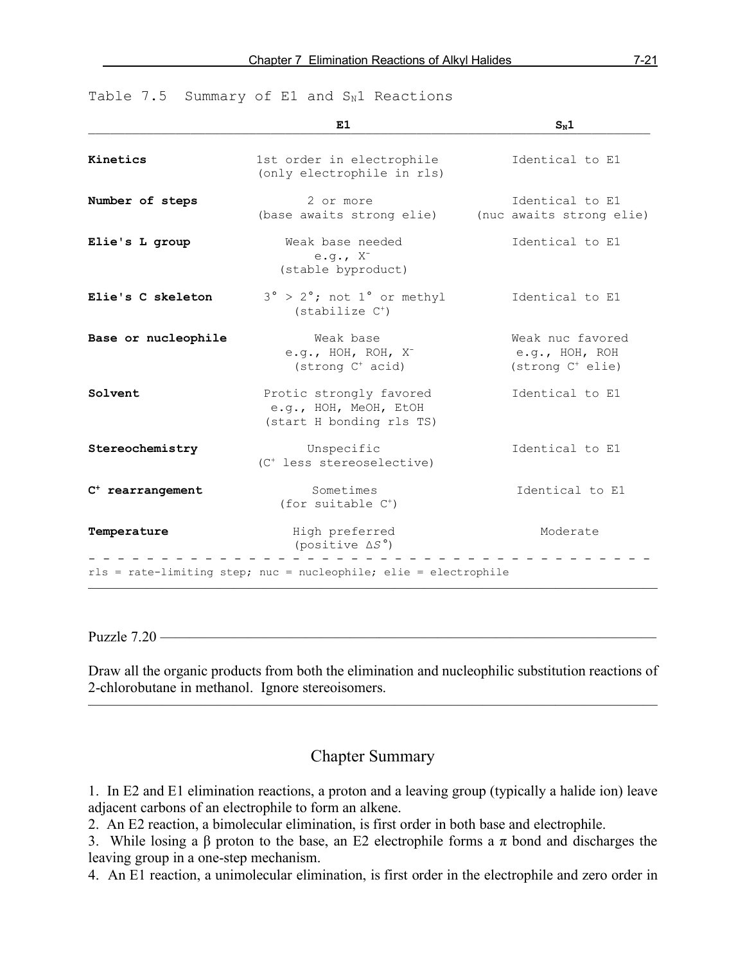|                     | E1                                                                           | $S_N1$                                                             |
|---------------------|------------------------------------------------------------------------------|--------------------------------------------------------------------|
| Kinetics            | 1st order in electrophile<br>(only electrophile in rls)                      | Identical to E1                                                    |
| Number of steps     | 2 or more<br>(base awaits strong elie)                                       | Identical to E1<br>(nuc awaits strong elie)                        |
| Elie's L group      | Weak base needed<br>e.g., $X^{-}$<br>(stable byproduct)                      | Identical to E1                                                    |
| Elie's C skeleton   | $3^\circ$ > $2^\circ$ ; not $1^\circ$ or methyl<br>$(statilize C+)$          | Identical to E1                                                    |
| Base or nucleophile | Weak base<br>e.g., HOH, ROH, $X^-$<br>$(\text{strong } C^+ \text{ acid})$    | Weak nuc favored<br>e.g., HOH, ROH<br>(strong C <sup>+</sup> elie) |
| Solvent             | Protic strongly favored<br>e.g., HOH, MeOH, EtOH<br>(start H bonding rls TS) | Identical to E1                                                    |
| Stereochemistry     | Unspecific<br>(C <sup>+</sup> less stereoselective)                          | Identical to E1                                                    |
| $C^+$ rearrangement | Sometimes<br>(for suitable $C^+$ )                                           | Identical to E1                                                    |
| Temperature         | High preferred<br>(positive $\Delta S^{\circ}$ )                             | Moderate                                                           |
|                     | rls = rate-limiting step; nuc = nucleophile; elie = electrophile             |                                                                    |

Table  $7.5$  Summary of E1 and  $S_N1$  Reactions

Puzzle  $7.20$  —

Draw all the organic products from both the elimination and nucleophilic substitution reactions of 2-chlorobutane in methanol. Ignore stereoisomers. ———————————————————————————————————————

# Chapter Summary

1. In E2 and E1 elimination reactions, a proton and a leaving group (typically a halide ion) leave adjacent carbons of an electrophile to form an alkene.

2. An E2 reaction, a bimolecular elimination, is first order in both base and electrophile.

3. While losing a β proton to the base, an E2 electrophile forms a π bond and discharges the leaving group in a one-step mechanism.

4. An E1 reaction, a unimolecular elimination, is first order in the electrophile and zero order in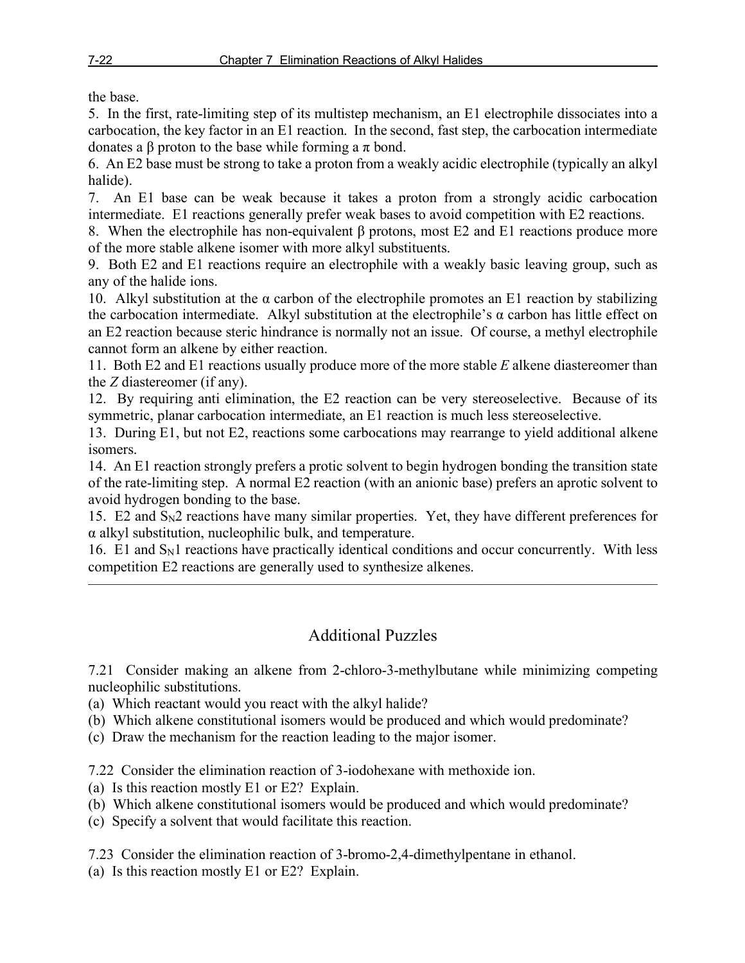the base.

5. In the first, rate-limiting step of its multistep mechanism, an E1 electrophile dissociates into a carbocation, the key factor in an E1 reaction. In the second, fast step, the carbocation intermediate donates a β proton to the base while forming a π bond.

6. An E2 base must be strong to take a proton from a weakly acidic electrophile (typically an alkyl halide).

7. An E1 base can be weak because it takes a proton from a strongly acidic carbocation intermediate. E1 reactions generally prefer weak bases to avoid competition with E2 reactions.

8. When the electrophile has non-equivalent β protons, most E2 and E1 reactions produce more of the more stable alkene isomer with more alkyl substituents.

9. Both E2 and E1 reactions require an electrophile with a weakly basic leaving group, such as any of the halide ions.

10. Alkyl substitution at the  $\alpha$  carbon of the electrophile promotes an E1 reaction by stabilizing the carbocation intermediate. Alkyl substitution at the electrophile's α carbon has little effect on an E2 reaction because steric hindrance is normally not an issue. Of course, a methyl electrophile cannot form an alkene by either reaction.

11. Both E2 and E1 reactions usually produce more of the more stable *E* alkene diastereomer than the *Z* diastereomer (if any).

12. By requiring anti elimination, the E2 reaction can be very stereoselective. Because of its symmetric, planar carbocation intermediate, an E1 reaction is much less stereoselective.

13. During E1, but not E2, reactions some carbocations may rearrange to yield additional alkene isomers.

14. An E1 reaction strongly prefers a protic solvent to begin hydrogen bonding the transition state of the rate-limiting step. A normal E2 reaction (with an anionic base) prefers an aprotic solvent to avoid hydrogen bonding to the base.

15. E2 and SN2 reactions have many similar properties. Yet, they have different preferences for α alkyl substitution, nucleophilic bulk, and temperature.

16. E1 and  $S_N1$  reactions have practically identical conditions and occur concurrently. With less competition E2 reactions are generally used to synthesize alkenes.

———————————————————————————————————————

# Additional Puzzles

7.21 Consider making an alkene from 2-chloro-3-methylbutane while minimizing competing nucleophilic substitutions.

(a) Which reactant would you react with the alkyl halide?

(b) Which alkene constitutional isomers would be produced and which would predominate?

(c) Draw the mechanism for the reaction leading to the major isomer.

7.22 Consider the elimination reaction of 3-iodohexane with methoxide ion.

- (a) Is this reaction mostly E1 or E2? Explain.
- (b) Which alkene constitutional isomers would be produced and which would predominate?
- (c) Specify a solvent that would facilitate this reaction.

7.23 Consider the elimination reaction of 3-bromo-2,4-dimethylpentane in ethanol.

(a) Is this reaction mostly E1 or E2? Explain.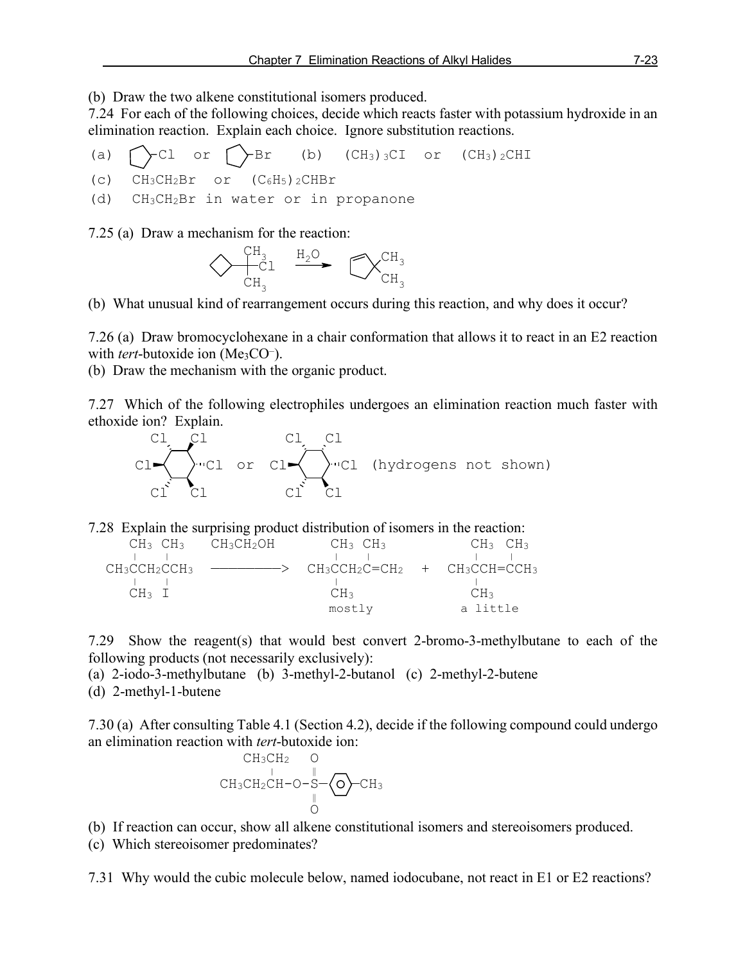(b) Draw the two alkene constitutional isomers produced.

7.24 For each of the following choices, decide which reacts faster with potassium hydroxide in an elimination reaction. Explain each choice. Ignore substitution reactions.

(a)  $\bigcap$  Cl or  $\bigcap$  Br (b) (CH<sub>3</sub>)<sub>3</sub>CI or (CH<sub>3</sub>)<sub>2</sub>CHI (c)  $CH_3CH_2Br$  or  $(C_6H_5)$ <sub>2</sub>CHBr (d) CH3CH2Br in water or in propanone

7.25 (a) Draw a mechanism for the reaction:



 $\overline{a}$ (b) What unusual kind of rearrangement occurs during this reaction, and why does it occur?

7.26 (a) Draw bromocyclohexane in a chair conformation that allows it to react in an E2 reaction with *tert*-butoxide ion (Me<sub>3</sub>CO<sup>-</sup>).

(b) Draw the mechanism with the organic product.

7.27 Which of the following electrophiles undergoes an elimination reaction much faster with ethoxide ion? Explain.



7.28 Explain the surprising product distribution of isomers in the reaction:

| $CH3$ $CH3$                  |
|------------------------------|
|                              |
| > CH3CCH2C=CH2 + CH3CCH=CCH3 |
|                              |
| CH3                          |
| a little                     |
|                              |

7.29 Show the reagent(s) that would best convert 2-bromo-3-methylbutane to each of the following products (not necessarily exclusively):

(a) 2-iodo-3-methylbutane (b) 3-methyl-2-butanol (c) 2-methyl-2-butene (d) 2-methyl-1-butene

7.30 (a) After consulting Table 4.1 (Section 4.2), decide if the following compound could undergo an elimination reaction with *tert*-butoxide ion:

$$
\begin{array}{cc}\nCH_3CH_2 & O \\
\downarrow & \parallel \\
CH_3CH_2CH-O-S-\bigodot-CH_3 \\
& O\n\end{array}
$$

(b) If reaction can occur, show all alkene constitutional isomers and stereoisomers produced.

(c) Which stereoisomer predominates?

7.31 Why would the cubic molecule below, named iodocubane, not react in E1 or E2 reactions?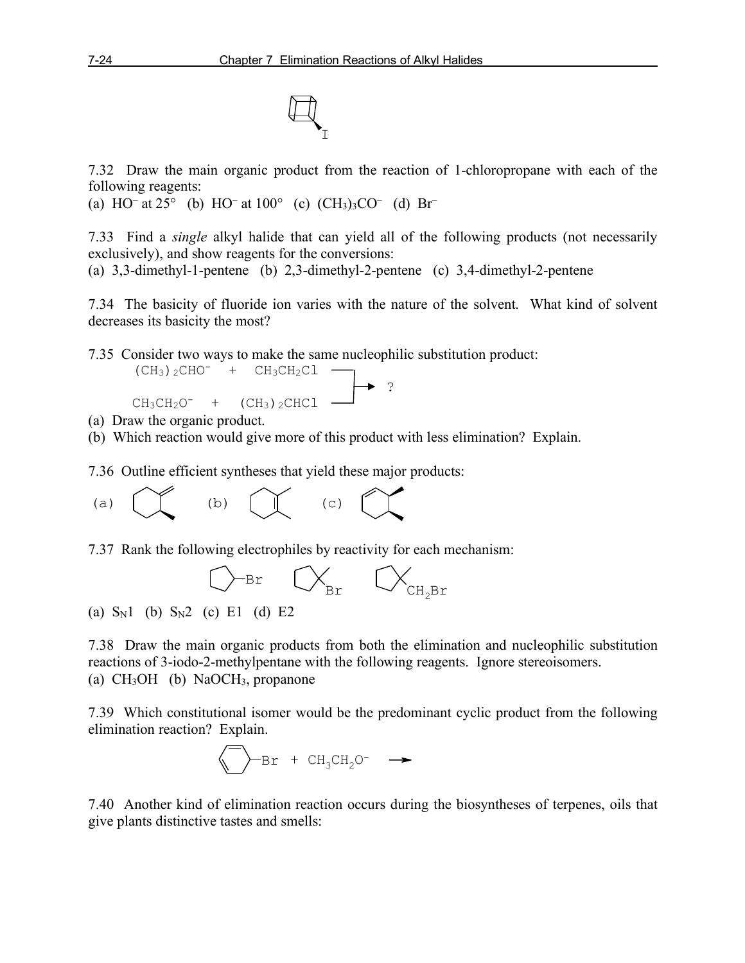I

7.32 Draw the main organic product from the reaction of 1-chloropropane with each of the following reagents:

(a) HO<sup>–</sup> at 25° (b) HO<sup>–</sup> at 100° (c)  $(CH_3)_3CO^-$  (d) Br<sup>–</sup>

7.33 Find a *single* alkyl halide that can yield all of the following products (not necessarily exclusively), and show reagents for the conversions:

(a) 3,3-dimethyl-1-pentene (b) 2,3-dimethyl-2-pentene (c) 3,4-dimethyl-2-pentene

7.34 The basicity of fluoride ion varies with the nature of the solvent. What kind of solvent decreases its basicity the most?

7.35 Consider two ways to make the same nucleophilic substitution product:

$$
CH3)2CHO- + CH3CH2Cl
$$
\n
$$
CH3CH2O- + (CH3)2CHCl
$$

- (a) Draw the organic product.
- (b) Which reaction would give more of this product with less elimination? Explain.

7.36 Outline efficient syntheses that yield these major products:



7.37 Rank the following electrophiles by reactivity for each mechanism:



l. (a)  $S_N1$  (b)  $S_N2$  (c) E1 (d) E2

7.38 Draw the main organic products from both the elimination and nucleophilic substitution reactions of 3-iodo-2-methylpentane with the following reagents. Ignore stereoisomers. (a) CH3OH (b) NaOCH3, propanone

7.39 Which constitutional isomer would be the predominant cyclic product from the following elimination reaction? Explain.

$$
\bigotimes \text{Br} + \text{CH}_3\text{CH}_2\text{O}^- \longrightarrow
$$

7.40 Another kind of elimination reaction occurs during the biosyntheses of terpenes, oils that give plants distinctive tastes and smells: